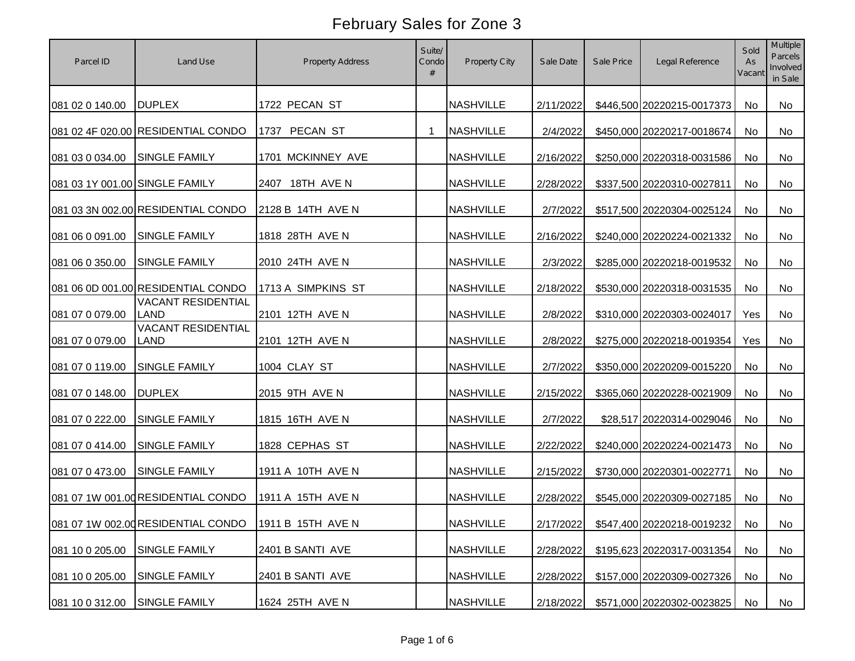| Parcel ID                      | Land Use                                 | <b>Property Address</b> | Suite/<br>Condo | Property City    | Sale Date | Sale Price | Legal Reference                         | Sold<br>As<br>Vacant | <b>Multiple</b><br>Parcels<br>Involved<br>in Sale |
|--------------------------------|------------------------------------------|-------------------------|-----------------|------------------|-----------|------------|-----------------------------------------|----------------------|---------------------------------------------------|
| 081 02 0 140.00                | <b>DUPLEX</b>                            | 1722 PECAN ST           |                 | <b>NASHVILLE</b> | 2/11/2022 |            | \$446,500 20220215-0017373              | No                   | No                                                |
|                                | 081 02 4F 020.00 RESIDENTIAL CONDO       | 1737 PECAN ST           | 1               | <b>NASHVILLE</b> | 2/4/2022  |            | \$450,000 20220217-0018674              | No                   | <b>No</b>                                         |
| 081 03 0 034.00                | <b>SINGLE FAMILY</b>                     | 1701 MCKINNEY AVE       |                 | <b>NASHVILLE</b> | 2/16/2022 |            | \$250,000 20220318-0031586              | No                   | No                                                |
| 081 03 1Y 001.00 SINGLE FAMILY |                                          | 2407 18TH AVE N         |                 | <b>NASHVILLE</b> | 2/28/2022 |            | \$337,500 20220310-0027811              | No                   | No                                                |
|                                | 081 03 3N 002.00 RESIDENTIAL CONDO       | 2128 B 14TH AVE N       |                 | <b>NASHVILLE</b> | 2/7/2022  |            | \$517,500 20220304-0025124              | No                   | <b>No</b>                                         |
| 081 06 0 091.00                | <b>SINGLE FAMILY</b>                     | 1818 28TH AVE N         |                 | <b>NASHVILLE</b> | 2/16/2022 |            | \$240,000 20220224-0021332              | No                   | No                                                |
| 081 06 0 350.00                | SINGLE FAMILY                            | 2010 24TH AVE N         |                 | <b>NASHVILLE</b> | 2/3/2022  |            | \$285,000 20220218-0019532              | No                   | No                                                |
|                                | 081 06 0D 001.00 RESIDENTIAL CONDO       | 1713 A SIMPKINS ST      |                 | <b>NASHVILLE</b> | 2/18/2022 |            | \$530,000 20220318-0031535              | No                   | No                                                |
| 081 07 0 079.00                | <b>VACANT RESIDENTIAL</b><br><b>LAND</b> | 2101 12TH AVE N         |                 | <b>NASHVILLE</b> | 2/8/2022  |            | \$310,000 20220303-0024017              | Yes                  | No                                                |
| 081 07 0 079.00                | <b>VACANT RESIDENTIAL</b><br><b>LAND</b> | 2101 12TH AVE N         |                 | <b>NASHVILLE</b> | 2/8/2022  |            | \$275,000 20220218-0019354              | Yes                  | No                                                |
| 081 07 0 119.00                | SINGLE FAMILY                            | 1004 CLAY ST            |                 | <b>NASHVILLE</b> | 2/7/2022  |            | \$350,000 20220209-0015220              | No                   | No                                                |
| 081 07 0 148.00                | <b>DUPLEX</b>                            | 2015 9TH AVE N          |                 | <b>NASHVILLE</b> | 2/15/2022 |            | \$365,060 20220228-0021909              | No                   | No                                                |
| 081 07 0 222.00                | SINGLE FAMILY                            | 1815 16TH AVE N         |                 | <b>NASHVILLE</b> | 2/7/2022  |            | \$28,517 20220314-0029046               | No                   | No                                                |
| 081 07 0 414.00                | <b>SINGLE FAMILY</b>                     | 1828 CEPHAS ST          |                 | <b>NASHVILLE</b> | 2/22/2022 |            | \$240,000 20220224-0021473              | No                   | No                                                |
| 081 07 0 473.00                | <b>SINGLE FAMILY</b>                     | 1911 A 10TH AVE N       |                 | <b>NASHVILLE</b> | 2/15/2022 |            | \$730,000 20220301-0022771              | No                   | No                                                |
|                                | 081 07 1W 001.00 RESIDENTIAL CONDO       | 1911 A 15TH AVE N       |                 | <b>NASHVILLE</b> | 2/28/2022 |            | \$545,000 20220309-0027185              | No                   | No                                                |
|                                | 081 07 1W 002.00 RESIDENTIAL CONDO       | 1911 B 15TH AVE N       |                 | <b>NASHVILLE</b> |           |            | 2/17/2022 \$547,400 20220218-0019232 No |                      | No                                                |
| 081 10 0 205.00                | <b>SINGLE FAMILY</b>                     | 2401 B SANTI AVE        |                 | <b>NASHVILLE</b> | 2/28/2022 |            | \$195,623 20220317-0031354              | No                   | No                                                |
| 081 10 0 205.00                | SINGLE FAMILY                            | 2401 B SANTI AVE        |                 | <b>NASHVILLE</b> | 2/28/2022 |            | \$157,000 20220309-0027326              | No                   | No                                                |
| 081 10 0 312.00                | <b>SINGLE FAMILY</b>                     | 1624 25TH AVE N         |                 | <b>NASHVILLE</b> | 2/18/2022 |            | \$571,000 20220302-0023825              | No                   | No                                                |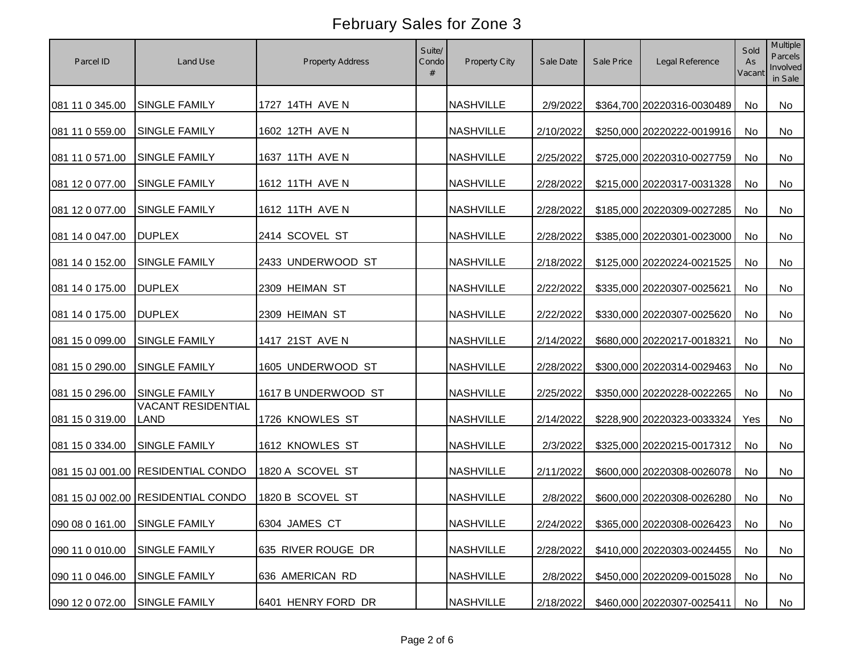| Parcel ID                     | Land Use                           | <b>Property Address</b> | Suite/<br>Condo<br># | Property City    | Sale Date | Sale Price | Legal Reference               | Sold<br>As<br>Vacant | Multiple<br>Parcels<br>Involved<br>in Sale |
|-------------------------------|------------------------------------|-------------------------|----------------------|------------------|-----------|------------|-------------------------------|----------------------|--------------------------------------------|
| 081 11 0 345.00               | <b>SINGLE FAMILY</b>               | 1727 14TH AVE N         |                      | <b>NASHVILLE</b> | 2/9/2022  |            | \$364,700 20220316-0030489    | No                   | No                                         |
| 081 11 0 559.00               | <b>SINGLE FAMILY</b>               | 1602 12TH AVE N         |                      | <b>NASHVILLE</b> | 2/10/2022 |            | \$250,000 20220222-0019916    | No                   | <b>No</b>                                  |
| 081 11 0 571.00               | <b>SINGLE FAMILY</b>               | 1637 11TH AVE N         |                      | <b>NASHVILLE</b> | 2/25/2022 |            | \$725,000 20220310-0027759    | No                   | No                                         |
| 081 12 0 077.00               | SINGLE FAMILY                      | 1612 11TH AVE N         |                      | <b>NASHVILLE</b> | 2/28/2022 |            | \$215,000 20220317-0031328    | No                   | No                                         |
| 081 12 0 077.00               | <b>SINGLE FAMILY</b>               | 1612 11TH AVE N         |                      | <b>NASHVILLE</b> | 2/28/2022 |            | \$185,000 20220309-0027285    | <b>No</b>            | No                                         |
| 081 14 0 047.00               | <b>DUPLEX</b>                      | 2414 SCOVEL ST          |                      | <b>NASHVILLE</b> | 2/28/2022 |            | \$385,000 20220301-0023000    | No                   | No                                         |
| 081 14 0 152.00               | SINGLE FAMILY                      | 2433 UNDERWOOD ST       |                      | <b>NASHVILLE</b> | 2/18/2022 |            | \$125,000 20220224-0021525    | No                   | No                                         |
| 081 14 0 175.00               | <b>DUPLEX</b>                      | 2309 HEIMAN ST          |                      | <b>NASHVILLE</b> | 2/22/2022 |            | \$335,000 20220307-0025621    | <b>No</b>            | No                                         |
| 081 14 0 175.00               | <b>DUPLEX</b>                      | 2309 HEIMAN ST          |                      | <b>NASHVILLE</b> | 2/22/2022 |            | \$330,000 20220307-0025620    | No                   | No                                         |
| 081 15 0 099.00               | SINGLE FAMILY                      | 1417 21ST AVE N         |                      | <b>NASHVILLE</b> | 2/14/2022 |            | \$680,000 20220217-0018321    | No                   | No                                         |
| 081 15 0 290.00               | SINGLE FAMILY                      | 1605 UNDERWOOD ST       |                      | <b>NASHVILLE</b> | 2/28/2022 |            | \$300,000 20220314-0029463    | No                   | No                                         |
| 081 15 0 296.00               | SINGLE FAMILY                      | 1617 B UNDERWOOD ST     |                      | <b>NASHVILLE</b> | 2/25/2022 |            | \$350,000 20220228-0022265    | No                   | No                                         |
| 081 15 0 319.00               | <b>VACANT RESIDENTIAL</b><br>LAND  | 1726 KNOWLES ST         |                      | <b>NASHVILLE</b> | 2/14/2022 |            | \$228,900 20220323-0033324    | Yes                  | No                                         |
| 081 15 0 334.00               | <b>SINGLE FAMILY</b>               | 1612 KNOWLES ST         |                      | <b>NASHVILLE</b> | 2/3/2022  |            | \$325,000 20220215-0017312    | <b>No</b>            | No                                         |
|                               | 081 15 0J 001.00 RESIDENTIAL CONDO | 1820 A SCOVEL ST        |                      | <b>NASHVILLE</b> | 2/11/2022 |            | \$600,000 20220308-0026078    | <b>No</b>            | No                                         |
|                               | 081 15 0J 002.00 RESIDENTIAL CONDO | 1820 B SCOVEL ST        |                      | <b>NASHVILLE</b> | 2/8/2022  |            | \$600,000 20220308-0026280    | <b>No</b>            | No                                         |
| 090 08 0 161.00 SINGLE FAMILY |                                    | 6304 JAMES CT           |                      | <b>NASHVILLE</b> | 2/24/2022 |            | \$365,000 20220308-0026423 No |                      | No                                         |
| 090 11 0 010.00               | <b>SINGLE FAMILY</b>               | 635 RIVER ROUGE DR      |                      | <b>NASHVILLE</b> | 2/28/2022 |            | \$410,000 20220303-0024455    | No                   | No                                         |
| 090 11 0 046.00               | SINGLE FAMILY                      | 636 AMERICAN RD         |                      | <b>NASHVILLE</b> | 2/8/2022  |            | \$450,000 20220209-0015028    | No                   | No                                         |
| 090 12 0 072.00               | <b>SINGLE FAMILY</b>               | 6401 HENRY FORD DR      |                      | <b>NASHVILLE</b> | 2/18/2022 |            | \$460,000 20220307-0025411    | No                   | No                                         |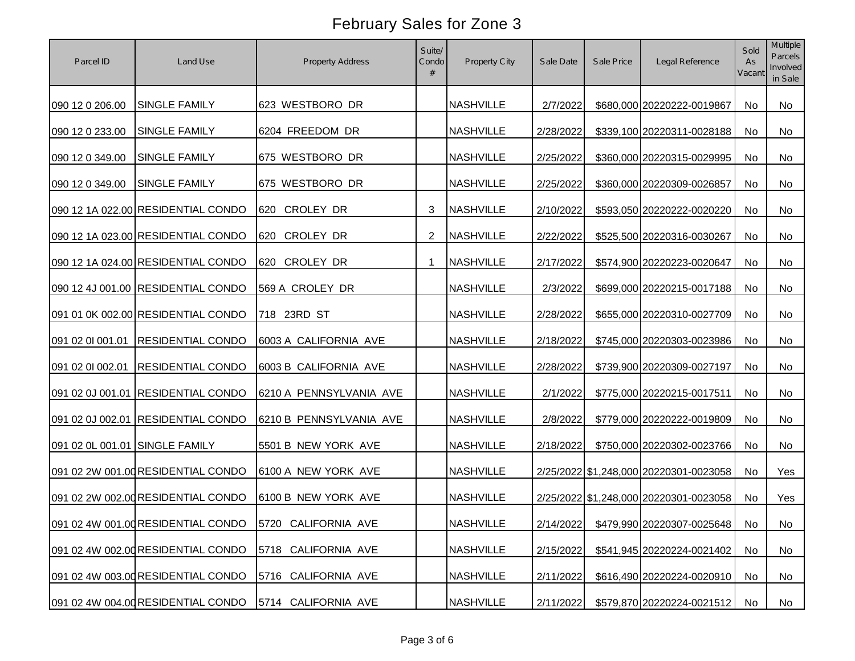| Parcel ID                      | Land Use                           | <b>Property Address</b>                                  | Suite/<br>Condo | Property City    | Sale Date | Sale Price | Legal Reference                        | Sold<br>As<br>Vacant | Multiple<br>Parcels<br>Involved<br>in Sale |
|--------------------------------|------------------------------------|----------------------------------------------------------|-----------------|------------------|-----------|------------|----------------------------------------|----------------------|--------------------------------------------|
| 090 12 0 206.00                | <b>SINGLE FAMILY</b>               | 623 WESTBORO DR                                          |                 | <b>NASHVILLE</b> | 2/7/2022  |            | \$680,000 20220222-0019867             | No                   | No                                         |
| 090 12 0 233.00                | <b>SINGLE FAMILY</b>               | 6204 FREEDOM DR                                          |                 | <b>NASHVILLE</b> | 2/28/2022 |            | \$339,100 20220311-0028188             | No                   | No                                         |
| 090 12 0 349.00                | <b>SINGLE FAMILY</b>               | 675 WESTBORO DR                                          |                 | <b>NASHVILLE</b> | 2/25/2022 |            | \$360,000 20220315-0029995             | No                   | No                                         |
| 090 12 0 349.00                | SINGLE FAMILY                      | 675 WESTBORO DR                                          |                 | <b>NASHVILLE</b> | 2/25/2022 |            | \$360,000 20220309-0026857             | No                   | No                                         |
|                                | 090 12 1A 022.00 RESIDENTIAL CONDO | 620 CROLEY DR                                            | 3               | <b>NASHVILLE</b> | 2/10/2022 |            | \$593,050 20220222-0020220             | No                   | <b>No</b>                                  |
|                                | 090 12 1A 023.00 RESIDENTIAL CONDO | 620 CROLEY DR                                            | $\overline{2}$  | <b>NASHVILLE</b> | 2/22/2022 |            | \$525,500 20220316-0030267             | No                   | No                                         |
|                                | 090 12 1A 024.00 RESIDENTIAL CONDO | 620 CROLEY DR                                            |                 | <b>NASHVILLE</b> | 2/17/2022 |            | \$574,900 20220223-0020647             | No                   | No                                         |
|                                | 090 12 4J 001.00 RESIDENTIAL CONDO | 569 A CROLEY DR                                          |                 | <b>NASHVILLE</b> | 2/3/2022  |            | \$699,000 20220215-0017188             | No                   | No                                         |
|                                | 091 01 0K 002.00 RESIDENTIAL CONDO | 718 23RD ST                                              |                 | <b>NASHVILLE</b> | 2/28/2022 |            | \$655,000 20220310-0027709             | No                   | No                                         |
| 091 02 01 001.01               | <b>RESIDENTIAL CONDO</b>           | 6003 A CALIFORNIA AVE                                    |                 | <b>NASHVILLE</b> | 2/18/2022 |            | \$745,000 20220303-0023986             | No                   | No                                         |
| 091 02 01 002.01               | <b>RESIDENTIAL CONDO</b>           | 6003 B CALIFORNIA AVE                                    |                 | <b>NASHVILLE</b> | 2/28/2022 |            | \$739,900 20220309-0027197             | No                   | No                                         |
|                                | 091 02 0J 001.01 RESIDENTIAL CONDO | 6210 A PENNSYLVANIA AVE                                  |                 | <b>NASHVILLE</b> | 2/1/2022  |            | \$775,000 20220215-0017511             | No                   | No                                         |
|                                | 091 02 0J 002.01 RESIDENTIAL CONDO | 6210 B PENNSYLVANIA AVE                                  |                 | <b>NASHVILLE</b> | 2/8/2022  |            | \$779,000 20220222-0019809             | No                   | No                                         |
| 091 02 0L 001.01 SINGLE FAMILY |                                    | 5501 B NEW YORK AVE                                      |                 | <b>NASHVILLE</b> | 2/18/2022 |            | \$750,000 20220302-0023766             | No                   | No                                         |
|                                | 091 02 2W 001.00 RESIDENTIAL CONDO | 6100 A NEW YORK AVE                                      |                 | <b>NASHVILLE</b> |           |            | 2/25/2022 \$1,248,000 20220301-0023058 | No                   | Yes                                        |
|                                | 091 02 2W 002.00 RESIDENTIAL CONDO | 6100 B NEW YORK AVE                                      |                 | <b>NASHVILLE</b> |           |            | 2/25/2022 \$1,248,000 20220301-0023058 | No                   | Yes                                        |
|                                |                                    | 091 02 4W 001.00 RESIDENTIAL CONDO   5720 CALIFORNIA AVE |                 | NASHVILLE        |           |            | 2/14/2022 \$479,990 20220307-0025648   | No                   | No                                         |
|                                | 091 02 4W 002.00 RESIDENTIAL CONDO | 5718 CALIFORNIA AVE                                      |                 | <b>NASHVILLE</b> | 2/15/2022 |            | \$541,945 20220224-0021402             | No                   | No                                         |
|                                | 091 02 4W 003.00 RESIDENTIAL CONDO | 5716 CALIFORNIA AVE                                      |                 | <b>NASHVILLE</b> | 2/11/2022 |            | \$616,490 20220224-0020910             | No                   | No                                         |
|                                | 091 02 4W 004.00 RESIDENTIAL CONDO | 5714 CALIFORNIA AVE                                      |                 | <b>NASHVILLE</b> | 2/11/2022 |            | \$579,870 20220224-0021512             | No                   | No                                         |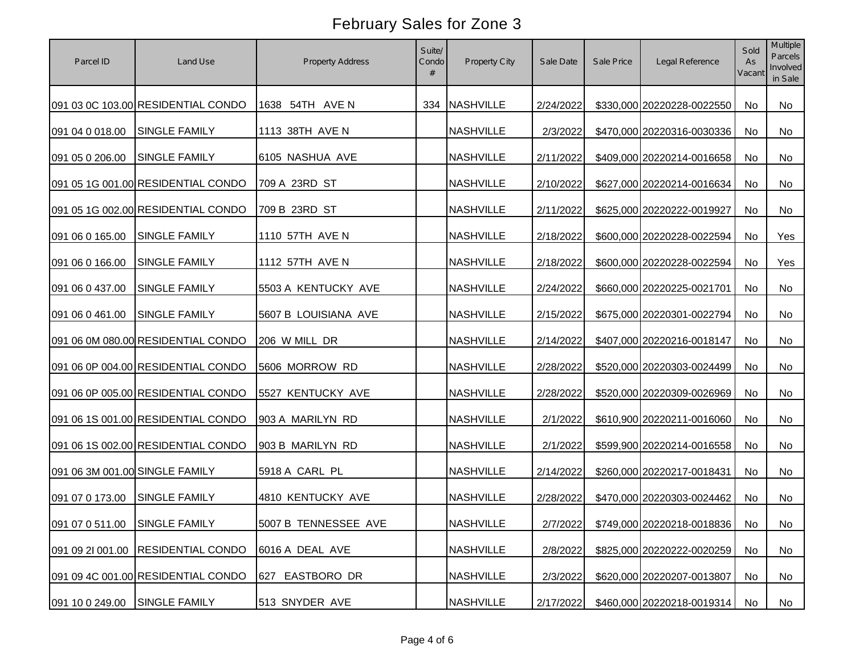| Parcel ID                      | Land Use                           | <b>Property Address</b> | Suite/<br>Condo<br># | Property City    | Sale Date | Sale Price | Legal Reference               | Sold<br>As<br>Vacant | Multiple<br>Parcels<br>Involved<br>in Sale |
|--------------------------------|------------------------------------|-------------------------|----------------------|------------------|-----------|------------|-------------------------------|----------------------|--------------------------------------------|
|                                | 091 03 0C 103.00 RESIDENTIAL CONDO | 1638 54TH AVE N         |                      | 334 NASHVILLE    | 2/24/2022 |            | \$330,000 20220228-0022550    | No                   | No                                         |
| 091 04 0 018.00                | <b>SINGLE FAMILY</b>               | 1113 38TH AVE N         |                      | <b>NASHVILLE</b> | 2/3/2022  |            | \$470,000 20220316-0030336    | No                   | <b>No</b>                                  |
| 091 05 0 206.00                | <b>SINGLE FAMILY</b>               | 6105 NASHUA AVE         |                      | <b>NASHVILLE</b> | 2/11/2022 |            | \$409,000 20220214-0016658    | No                   | No                                         |
|                                | 091 05 1G 001.00 RESIDENTIAL CONDO | 709 A 23RD ST           |                      | <b>NASHVILLE</b> | 2/10/2022 |            | \$627,000 20220214-0016634    | No                   | No                                         |
|                                | 091 05 1G 002.00 RESIDENTIAL CONDO | 709 B 23RD ST           |                      | <b>NASHVILLE</b> | 2/11/2022 |            | \$625,000 20220222-0019927    | <b>No</b>            | No                                         |
| 091 06 0 165.00                | <b>SINGLE FAMILY</b>               | 1110 57TH AVE N         |                      | <b>NASHVILLE</b> | 2/18/2022 |            | \$600,000 20220228-0022594    | <b>No</b>            | Yes                                        |
| 091 06 0 166.00                | SINGLE FAMILY                      | 1112 57TH AVE N         |                      | <b>NASHVILLE</b> | 2/18/2022 |            | \$600,000 20220228-0022594    | No                   | Yes                                        |
| 091 06 0 437.00                | <b>SINGLE FAMILY</b>               | 5503 A KENTUCKY AVE     |                      | <b>NASHVILLE</b> | 2/24/2022 |            | \$660,000 20220225-0021701    | <b>No</b>            | No                                         |
| 091 06 0 461.00                | SINGLE FAMILY                      | 5607 B LOUISIANA AVE    |                      | <b>NASHVILLE</b> | 2/15/2022 |            | \$675,000 20220301-0022794    | No                   | No                                         |
|                                | 091 06 0M 080.00 RESIDENTIAL CONDO | 206 W MILL DR           |                      | <b>NASHVILLE</b> | 2/14/2022 |            | \$407,000 20220216-0018147    | No                   | No                                         |
|                                | 091 06 0P 004.00 RESIDENTIAL CONDO | 5606 MORROW RD          |                      | <b>NASHVILLE</b> | 2/28/2022 |            | \$520,000 20220303-0024499    | No                   | No                                         |
|                                | 091 06 0P 005.00 RESIDENTIAL CONDO | 5527 KENTUCKY AVE       |                      | <b>NASHVILLE</b> | 2/28/2022 |            | \$520,000 20220309-0026969    | No                   | No                                         |
|                                | 091 06 1S 001.00 RESIDENTIAL CONDO | 903 A MARILYN RD        |                      | <b>NASHVILLE</b> | 2/1/2022  |            | \$610,900 20220211-0016060    | No                   | No                                         |
|                                | 091 06 1S 002.00 RESIDENTIAL CONDO | 903 B MARILYN RD        |                      | <b>NASHVILLE</b> | 2/1/2022  |            | \$599,900 20220214-0016558    | <b>No</b>            | No                                         |
| 091 06 3M 001.00 SINGLE FAMILY |                                    | 5918 A CARL PL          |                      | <b>NASHVILLE</b> | 2/14/2022 |            | \$260,000 20220217-0018431    | <b>No</b>            | No                                         |
| 091 07 0 173.00                | <b>SINGLE FAMILY</b>               | 4810 KENTUCKY AVE       |                      | <b>NASHVILLE</b> | 2/28/2022 |            | \$470,000 20220303-0024462    | <b>No</b>            | No                                         |
| 091 07 0 511.00 SINGLE FAMILY  |                                    | 5007 B TENNESSEE AVE    |                      | <b>NASHVILLE</b> | 2/7/2022  |            | \$749,000 20220218-0018836 No |                      | No                                         |
| 091 09 2l 001.00               | <b>RESIDENTIAL CONDO</b>           | 6016 A DEAL AVE         |                      | <b>NASHVILLE</b> | 2/8/2022  |            | \$825,000 20220222-0020259    | No                   | No                                         |
|                                | 091 09 4C 001.00 RESIDENTIAL CONDO | 627<br>EASTBORO DR      |                      | <b>NASHVILLE</b> | 2/3/2022  |            | \$620,000 20220207-0013807    | No                   | No                                         |
| 091 10 0 249.00                | <b>SINGLE FAMILY</b>               | 513 SNYDER AVE          |                      | <b>NASHVILLE</b> | 2/17/2022 |            | \$460,000 20220218-0019314    | No                   | No                                         |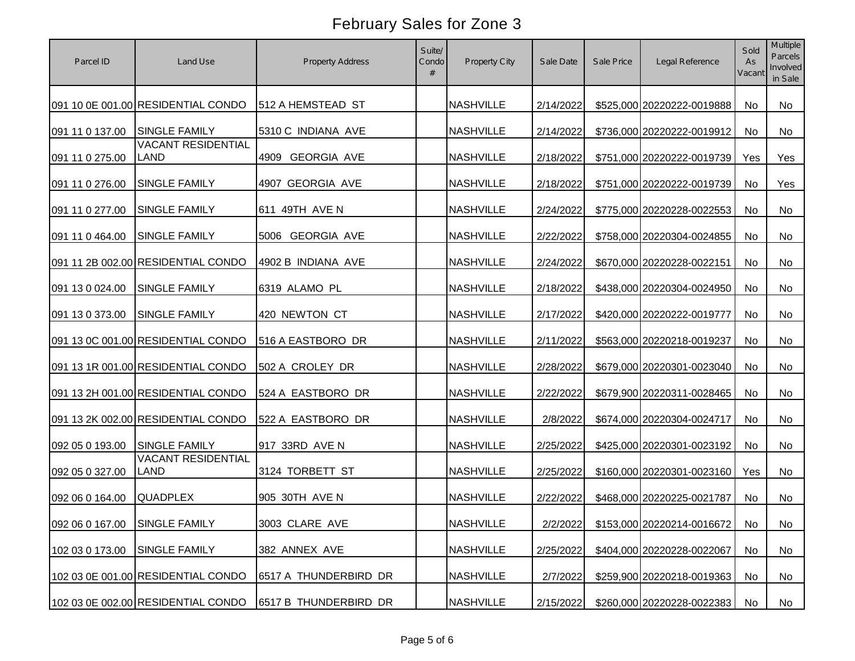| Parcel ID                     | Land Use                           | Property Address      | Suite/<br>Condo<br># | Property City    | Sale Date | Sale Price | Legal Reference                        | Sold<br>As<br>Vacant | <b>Multiple</b><br>Parcels<br>Involved<br>in Sale |
|-------------------------------|------------------------------------|-----------------------|----------------------|------------------|-----------|------------|----------------------------------------|----------------------|---------------------------------------------------|
|                               | 091 10 0E 001.00 RESIDENTIAL CONDO | 512 A HEMSTEAD ST     |                      | <b>NASHVILLE</b> | 2/14/2022 |            | \$525,000 20220222-0019888             | No                   | No                                                |
| 091 11 0 137.00               | <b>SINGLE FAMILY</b>               | 5310 C INDIANA AVE    |                      | <b>NASHVILLE</b> | 2/14/2022 |            | \$736,000 20220222-0019912             | <b>No</b>            | <b>No</b>                                         |
| 091 11 0 275.00               | <b>VACANT RESIDENTIAL</b><br>LAND  | 4909 GEORGIA AVE      |                      | <b>NASHVILLE</b> | 2/18/2022 |            | \$751,000 20220222-0019739             | Yes                  | Yes                                               |
| 091 11 0 276.00               | <b>SINGLE FAMILY</b>               | 4907 GEORGIA AVE      |                      | <b>NASHVILLE</b> | 2/18/2022 |            | \$751,000 20220222-0019739             | No                   | Yes                                               |
| 091 11 0 277.00               | <b>SINGLE FAMILY</b>               | 611 49TH AVE N        |                      | <b>NASHVILLE</b> | 2/24/2022 |            | \$775,000 20220228-0022553             | <b>No</b>            | No                                                |
| 091 11 0 464.00               | <b>SINGLE FAMILY</b>               | 5006 GEORGIA AVE      |                      | <b>NASHVILLE</b> | 2/22/2022 |            | \$758,000 20220304-0024855             | <b>No</b>            | No                                                |
|                               | 091 11 2B 002.00 RESIDENTIAL CONDO | 4902 B INDIANA AVE    |                      | <b>NASHVILLE</b> | 2/24/2022 |            | \$670,000 20220228-0022151             | No                   | No                                                |
| 091 13 0 024.00               | <b>SINGLE FAMILY</b>               | 6319 ALAMO PL         |                      | <b>NASHVILLE</b> | 2/18/2022 |            | \$438,000 20220304-0024950             | No                   | <b>No</b>                                         |
| 091 13 0 373.00               | <b>SINGLE FAMILY</b>               | 420 NEWTON CT         |                      | <b>NASHVILLE</b> | 2/17/2022 |            | \$420,000 20220222-0019777             | No                   | No                                                |
|                               | 091 13 0C 001.00 RESIDENTIAL CONDO | 516 A EASTBORO DR     |                      | <b>NASHVILLE</b> | 2/11/2022 |            | \$563,000 20220218-0019237             | No                   | No                                                |
|                               | 091 13 1R 001.00 RESIDENTIAL CONDO | 502 A CROLEY DR       |                      | <b>NASHVILLE</b> | 2/28/2022 |            | \$679,000 20220301-0023040             | No                   | No                                                |
|                               | 091 13 2H 001.00 RESIDENTIAL CONDO | 524 A EASTBORO DR     |                      | <b>NASHVILLE</b> | 2/22/2022 |            | \$679,900 20220311-0028465             | No                   | No                                                |
|                               | 091 13 2K 002.00 RESIDENTIAL CONDO | 522 A EASTBORO DR     |                      | <b>NASHVILLE</b> | 2/8/2022  |            | \$674,000 20220304-0024717             | <b>No</b>            | No                                                |
| 092 05 0 193.00               | <b>SINGLE FAMILY</b>               | 917 33RD AVE N        |                      | <b>NASHVILLE</b> | 2/25/2022 |            | \$425,000 20220301-0023192             | <b>No</b>            | No                                                |
| 092 05 0 327.00               | <b>VACANT RESIDENTIAL</b><br>LAND  | 3124 TORBETT ST       |                      | <b>NASHVILLE</b> | 2/25/2022 |            | \$160,000 20220301-0023160             | Yes                  | No                                                |
| 092 06 0 164.00               | <b>QUADPLEX</b>                    | 905 30TH AVE N        |                      | <b>NASHVILLE</b> | 2/22/2022 |            | \$468,000 20220225-0021787             | <b>No</b>            | No                                                |
| 092 06 0 167.00 SINGLE FAMILY |                                    | 3003 CLARE AVE        |                      | NASHVILLE        |           |            | 2/2/2022 \$153,000 20220214-0016672 No |                      | No                                                |
| 102 03 0 173.00               | <b>SINGLE FAMILY</b>               | 382 ANNEX AVE         |                      | <b>NASHVILLE</b> | 2/25/2022 |            | \$404,000 20220228-0022067             | No                   | No                                                |
|                               | 102 03 0E 001.00 RESIDENTIAL CONDO | 6517 A THUNDERBIRD DR |                      | <b>NASHVILLE</b> | 2/7/2022  |            | \$259,900 20220218-0019363             | No                   | No                                                |
|                               | 102 03 0E 002.00 RESIDENTIAL CONDO | 6517 B THUNDERBIRD DR |                      | <b>NASHVILLE</b> | 2/15/2022 |            | \$260,000 20220228-0022383             | No                   | No                                                |